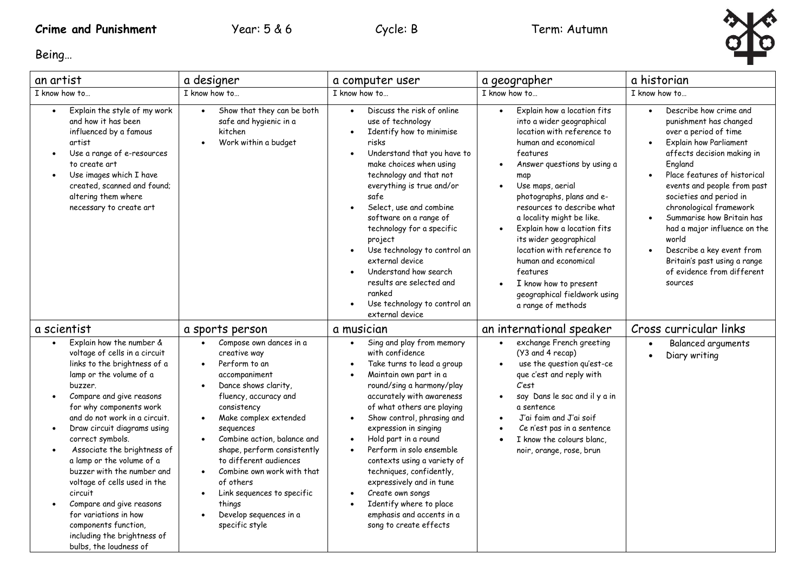

Being…

| an artist                                                                                                                                                                                                                                                                                                                                                                                                                                                                                                                                                          | a designer                                                                                                                                                                                                                                                                                                                                                                                                                                                                           | a computer user                                                                                                                                                                                                                                                                                                                                                                                                                                                                                                                                                                                              | a geographer                                                                                                                                                                                                                                                                                                                                                                                                                                                                                        | a historian                                                                                                                                                                                                                                                                                                                                                                                                                                                                                              |
|--------------------------------------------------------------------------------------------------------------------------------------------------------------------------------------------------------------------------------------------------------------------------------------------------------------------------------------------------------------------------------------------------------------------------------------------------------------------------------------------------------------------------------------------------------------------|--------------------------------------------------------------------------------------------------------------------------------------------------------------------------------------------------------------------------------------------------------------------------------------------------------------------------------------------------------------------------------------------------------------------------------------------------------------------------------------|--------------------------------------------------------------------------------------------------------------------------------------------------------------------------------------------------------------------------------------------------------------------------------------------------------------------------------------------------------------------------------------------------------------------------------------------------------------------------------------------------------------------------------------------------------------------------------------------------------------|-----------------------------------------------------------------------------------------------------------------------------------------------------------------------------------------------------------------------------------------------------------------------------------------------------------------------------------------------------------------------------------------------------------------------------------------------------------------------------------------------------|----------------------------------------------------------------------------------------------------------------------------------------------------------------------------------------------------------------------------------------------------------------------------------------------------------------------------------------------------------------------------------------------------------------------------------------------------------------------------------------------------------|
| I know how to                                                                                                                                                                                                                                                                                                                                                                                                                                                                                                                                                      | I know how to                                                                                                                                                                                                                                                                                                                                                                                                                                                                        | I know how to                                                                                                                                                                                                                                                                                                                                                                                                                                                                                                                                                                                                | I know how to                                                                                                                                                                                                                                                                                                                                                                                                                                                                                       | I know how to                                                                                                                                                                                                                                                                                                                                                                                                                                                                                            |
| Explain the style of my work<br>and how it has been<br>influenced by a famous<br>artist<br>Use a range of e-resources<br>to create art<br>Use images which I have<br>created, scanned and found;<br>altering them where<br>necessary to create art                                                                                                                                                                                                                                                                                                                 | Show that they can be both<br>$\bullet$<br>safe and hygienic in a<br>kitchen<br>Work within a budget<br>$\bullet$                                                                                                                                                                                                                                                                                                                                                                    | Discuss the risk of online<br>$\bullet$<br>use of technology<br>Identify how to minimise<br>$\bullet$<br>risks<br>Understand that you have to<br>$\bullet$<br>make choices when using<br>technology and that not<br>everything is true and/or<br>safe<br>Select, use and combine<br>$\bullet$<br>software on a range of<br>technology for a specific<br>project<br>Use technology to control an<br>$\bullet$<br>external device<br>Understand how search<br>$\bullet$<br>results are selected and<br>ranked<br>Use technology to control an<br>external device                                               | Explain how a location fits<br>$\bullet$<br>into a wider geographical<br>location with reference to<br>human and economical<br>features<br>Answer questions by using a<br>map<br>Use maps, aerial<br>photographs, plans and e-<br>resources to describe what<br>a locality might be like.<br>Explain how a location fits<br>its wider geographical<br>location with reference to<br>human and economical<br>features<br>I know how to present<br>geographical fieldwork using<br>a range of methods | Describe how crime and<br>$\bullet$<br>punishment has changed<br>over a period of time<br><b>Explain how Parliament</b><br>$\bullet$<br>affects decision making in<br>England<br>Place features of historical<br>$\bullet$<br>events and people from past<br>societies and period in<br>chronological framework<br>Summarise how Britain has<br>had a major influence on the<br>world<br>Describe a key event from<br>$\bullet$<br>Britain's past using a range<br>of evidence from different<br>sources |
| a scientist                                                                                                                                                                                                                                                                                                                                                                                                                                                                                                                                                        | a sports person                                                                                                                                                                                                                                                                                                                                                                                                                                                                      | a musician                                                                                                                                                                                                                                                                                                                                                                                                                                                                                                                                                                                                   | an international speaker                                                                                                                                                                                                                                                                                                                                                                                                                                                                            | Cross curricular links                                                                                                                                                                                                                                                                                                                                                                                                                                                                                   |
| Explain how the number &<br>voltage of cells in a circuit<br>links to the brightness of a<br>lamp or the volume of a<br>buzzer.<br>Compare and give reasons<br>for why components work<br>and do not work in a circuit.<br>Draw circuit diagrams using<br>$\bullet$<br>correct symbols.<br>Associate the brightness of<br>a lamp or the volume of a<br>buzzer with the number and<br>voltage of cells used in the<br>circuit<br>Compare and give reasons<br>for variations in how<br>components function,<br>including the brightness of<br>bulbs, the loudness of | Compose own dances in a<br>creative way<br>Perform to an<br>$\bullet$<br>accompaniment<br>Dance shows clarity,<br>$\bullet$<br>fluency, accuracy and<br>consistency<br>Make complex extended<br>$\bullet$<br>sequences<br>Combine action, balance and<br>$\bullet$<br>shape, perform consistently<br>to different audiences<br>Combine own work with that<br>$\bullet$<br>of others<br>Link sequences to specific<br>$\bullet$<br>things<br>Develop sequences in a<br>specific style | Sing and play from memory<br>$\bullet$<br>with confidence<br>Take turns to lead a group<br>$\bullet$<br>Maintain own part in a<br>$\bullet$<br>round/sing a harmony/play<br>accurately with awareness<br>of what others are playing<br>Show control, phrasing and<br>$\bullet$<br>expression in singing<br>Hold part in a round<br>$\bullet$<br>Perform in solo ensemble<br>$\bullet$<br>contexts using a variety of<br>techniques, confidently,<br>expressively and in tune<br>Create own songs<br>$\bullet$<br>Identify where to place<br>$\bullet$<br>emphasis and accents in a<br>song to create effects | exchange French greeting<br>(Y3 and 4 recap)<br>use the question qu'est-ce<br>que c'est and reply with<br>Cest<br>say Dans le sac and il y a in<br>$\bullet$<br>a sentence<br>J'ai faim and J'ai soif<br>Ce n'est pas in a sentence<br>I know the colours blanc,<br>noir, orange, rose, brun                                                                                                                                                                                                        | Balanced arguments<br>$\bullet$<br>Diary writing                                                                                                                                                                                                                                                                                                                                                                                                                                                         |